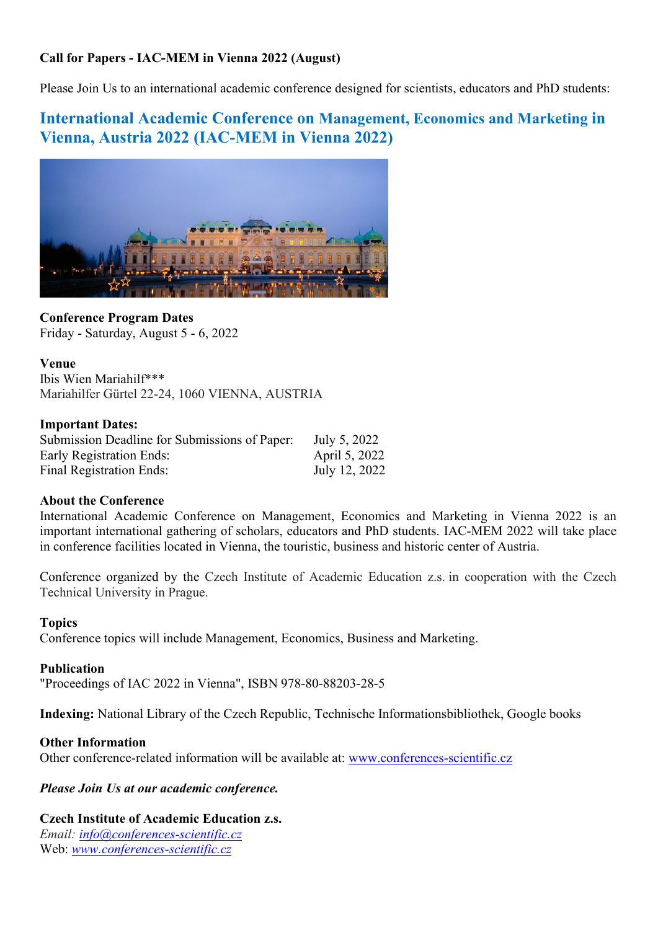## Call for Papers - IAC-MEM in Vienna 2022 (August)

Please Join Us to an international academic conference designed for scientists, educators and PhD students:

# International Academic Conference on Management, Economics and Marketing in Vienna, Austria 2022 (IAC-MEM in Vienna 2022)



Conference Program Dates Friday - Saturday, August 5 - 6, 2022

Venue Ibis Wien Mariahilf\*\*\* Mariahilfer Gürtel 22-24, 1060 VIENNA, AUSTRIA

#### Important Dates:

| Submission Deadline for Submissions of Paper: | July 5, 2022  |
|-----------------------------------------------|---------------|
| <b>Early Registration Ends:</b>               | April 5, 2022 |
| <b>Final Registration Ends:</b>               | July 12, 2022 |

### About the Conference

International Academic Conference on Management, Economics and Marketing in Vienna 2022 is an important international gathering of scholars, educators and PhD students. IAC-MEM 2022 will take place in conference facilities located in Vienna, the touristic, business and historic center of Austria.

Conference organized by the Czech Institute of Academic Education z.s. in cooperation with the Czech Technical University in Prague.

### Topics

Conference topics will include Management, Economics, Business and Marketing.

#### Publication

"Proceedings of IAC 2022 in Vienna", ISBN 978-80-88203-28-5

Indexing: National Library of the Czech Republic, Technische Informationsbibliothek, Google books

#### Other Information

Other conference-related information will be available at: www.conferences-scientific.cz

Please Join Us at our academic conference.

#### Czech Institute of Academic Education z.s.

Email: info@conferences-scientific.cz Web: www.conferences-scientific.cz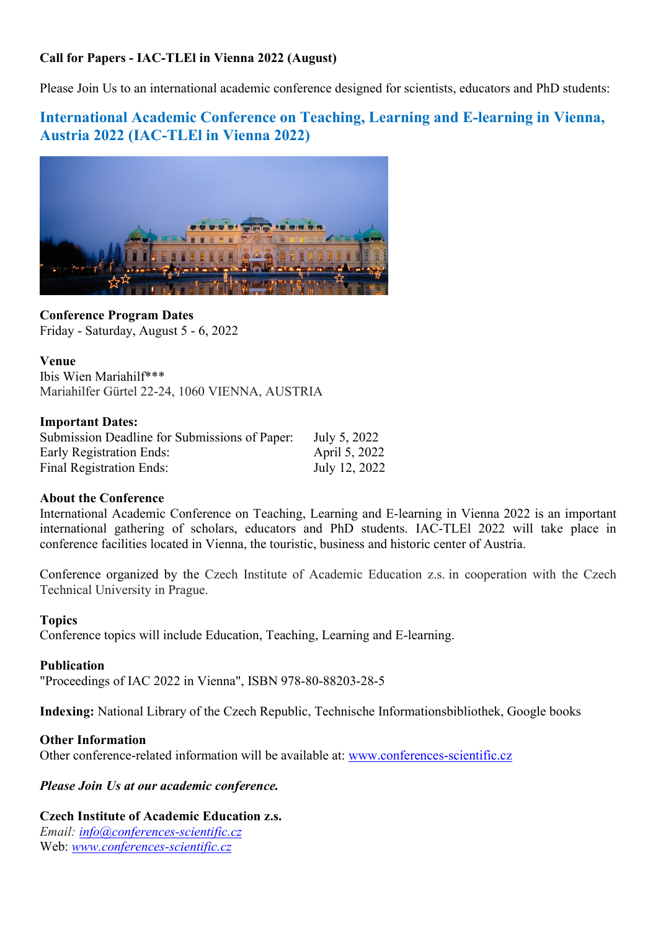## Call for Papers - IAC-TLEl in Vienna 2022 (August)

Please Join Us to an international academic conference designed for scientists, educators and PhD students:

## International Academic Conference on Teaching, Learning and E-learning in Vienna, Austria 2022 (IAC-TLEl in Vienna 2022)



Conference Program Dates Friday - Saturday, August 5 - 6, 2022

#### Venue

Ibis Wien Mariahilf\*\*\* Mariahilfer Gürtel 22-24, 1060 VIENNA, AUSTRIA

#### Important Dates:

| Submission Deadline for Submissions of Paper: | July 5, 2022  |
|-----------------------------------------------|---------------|
| <b>Early Registration Ends:</b>               | April 5, 2022 |
| Final Registration Ends:                      | July 12, 2022 |

#### About the Conference

International Academic Conference on Teaching, Learning and E-learning in Vienna 2022 is an important international gathering of scholars, educators and PhD students. IAC-TLEl 2022 will take place in conference facilities located in Vienna, the touristic, business and historic center of Austria.

Conference organized by the Czech Institute of Academic Education z.s. in cooperation with the Czech Technical University in Prague.

#### Topics

Conference topics will include Education, Teaching, Learning and E-learning.

#### Publication

"Proceedings of IAC 2022 in Vienna", ISBN 978-80-88203-28-5

Indexing: National Library of the Czech Republic, Technische Informationsbibliothek, Google books

#### Other Information

Other conference-related information will be available at: www.conferences-scientific.cz

#### Please Join Us at our academic conference.

#### Czech Institute of Academic Education z.s.

Email: info@conferences-scientific.cz Web: www.conferences-scientific.cz